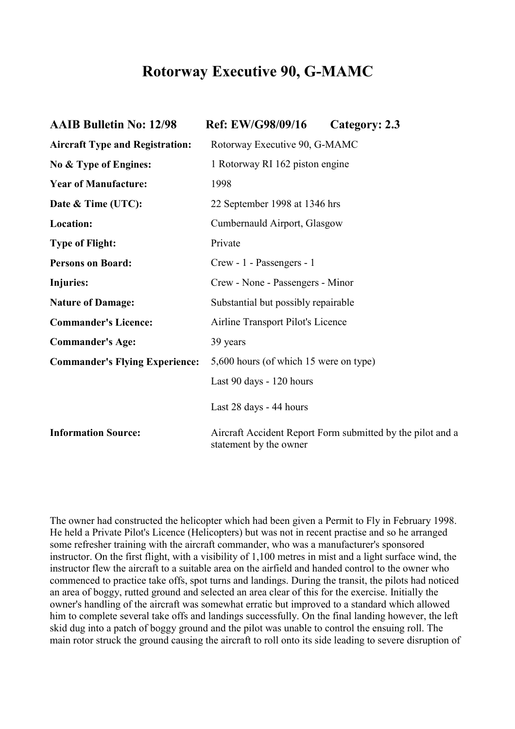## **Rotorway Executive 90, G-MAMC**

| <b>AAIB Bulletin No: 12/98</b>         | Ref: EW/G98/09/16                                                                    | Category: 2.3 |
|----------------------------------------|--------------------------------------------------------------------------------------|---------------|
| <b>Aircraft Type and Registration:</b> | Rotorway Executive 90, G-MAMC                                                        |               |
| No & Type of Engines:                  | 1 Rotorway RI 162 piston engine                                                      |               |
| <b>Year of Manufacture:</b>            | 1998                                                                                 |               |
| Date & Time (UTC):                     | 22 September 1998 at 1346 hrs                                                        |               |
| Location:                              | Cumbernauld Airport, Glasgow                                                         |               |
| <b>Type of Flight:</b>                 | Private                                                                              |               |
| <b>Persons on Board:</b>               | Crew - 1 - Passengers - 1                                                            |               |
| Injuries:                              | Crew - None - Passengers - Minor                                                     |               |
| <b>Nature of Damage:</b>               | Substantial but possibly repairable                                                  |               |
| <b>Commander's Licence:</b>            | Airline Transport Pilot's Licence                                                    |               |
| <b>Commander's Age:</b>                | 39 years                                                                             |               |
| <b>Commander's Flying Experience:</b>  | 5,600 hours (of which 15 were on type)                                               |               |
|                                        | Last 90 days - 120 hours                                                             |               |
|                                        | Last 28 days - 44 hours                                                              |               |
| <b>Information Source:</b>             | Aircraft Accident Report Form submitted by the pilot and a<br>statement by the owner |               |

The owner had constructed the helicopter which had been given a Permit to Fly in February 1998. He held a Private Pilot's Licence (Helicopters) but was not in recent practise and so he arranged some refresher training with the aircraft commander, who was a manufacturer's sponsored instructor. On the first flight, with a visibility of 1,100 metres in mist and a light surface wind, the instructor flew the aircraft to a suitable area on the airfield and handed control to the owner who commenced to practice take offs, spot turns and landings. During the transit, the pilots had noticed an area of boggy, rutted ground and selected an area clear of this for the exercise. Initially the owner's handling of the aircraft was somewhat erratic but improved to a standard which allowed him to complete several take offs and landings successfully. On the final landing however, the left skid dug into a patch of boggy ground and the pilot was unable to control the ensuing roll. The main rotor struck the ground causing the aircraft to roll onto its side leading to severe disruption of